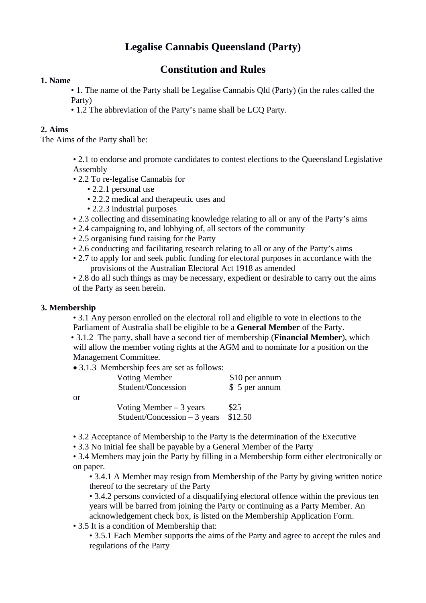# **Legalise Cannabis Queensland (Party)**

## **Constitution and Rules**

#### **1. Name**

• 1. The name of the Party shall be Legalise Cannabis Qld (Party) (in the rules called the Party)

• 1.2 The abbreviation of the Party's name shall be LCQ Party.

#### **2. Aims**

The Aims of the Party shall be:

• 2.1 to endorse and promote candidates to contest elections to the Queensland Legislative Assembly

• 2.2 To re-legalise Cannabis for

- 2.2.1 personal use
- 2.2.2 medical and therapeutic uses and
- 2.2.3 industrial purposes
- 2.3 collecting and disseminating knowledge relating to all or any of the Party's aims
- 2.4 campaigning to, and lobbying of, all sectors of the community
- 2.5 organising fund raising for the Party
- 2.6 conducting and facilitating research relating to all or any of the Party's aims
- 2.7 to apply for and seek public funding for electoral purposes in accordance with the provisions of the Australian Electoral Act 1918 as amended

• 2.8 do all such things as may be necessary, expedient or desirable to carry out the aims of the Party as seen herein.

#### **3. Membership**

• 3.1 Any person enrolled on the electoral roll and eligible to vote in elections to the Parliament of Australia shall be eligible to be a **General Member** of the Party.

• 3.1.2 The party, shall have a second tier of membership (**Financial Member**), which will allow the member voting rights at the AGM and to nominate for a position on the Management Committee.

• 3.1.3 Membership fees are set as follows:

| or | <b>Voting Member</b><br>Student/Concession                | \$10 per annum<br>\$ 5 per annum |
|----|-----------------------------------------------------------|----------------------------------|
|    | Voting Member $-3$ years<br>Student/Concession $-3$ years | \$25<br>\$12.50                  |

• 3.2 Acceptance of Membership to the Party is the determination of the Executive

• 3.3 No initial fee shall be payable by a General Member of the Party

• 3.4 Members may join the Party by filling in a Membership form either electronically or on paper.

• 3.4.1 A Member may resign from Membership of the Party by giving written notice thereof to the secretary of the Party

• 3.4.2 persons convicted of a disqualifying electoral offence within the previous ten years will be barred from joining the Party or continuing as a Party Member. An acknowledgement check box, is listed on the Membership Application Form.

• 3.5 It is a condition of Membership that:

• 3.5.1 Each Member supports the aims of the Party and agree to accept the rules and regulations of the Party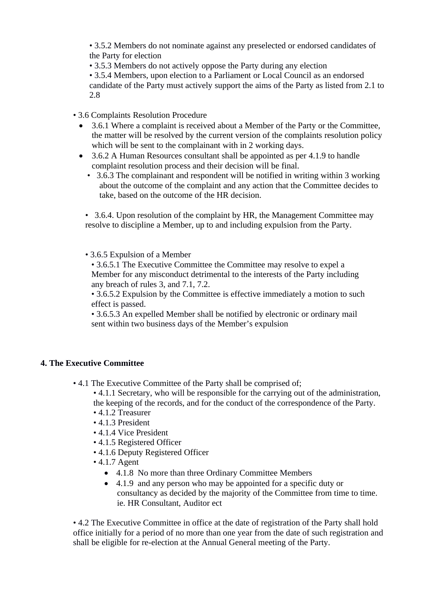• 3.5.2 Members do not nominate against any preselected or endorsed candidates of the Party for election

• 3.5.3 Members do not actively oppose the Party during any election

• 3.5.4 Members, upon election to a Parliament or Local Council as an endorsed

candidate of the Party must actively support the aims of the Party as listed from 2.1 to 2.8

• 3.6 Complaints Resolution Procedure

- 3.6.1 Where a complaint is received about a Member of the Party or the Committee, the matter will be resolved by the current version of the complaints resolution policy which will be sent to the complainant with in 2 working days.
- 3.6.2 A Human Resources consultant shall be appointed as per 4.1.9 to handle complaint resolution process and their decision will be final.
	- 3.6.3 The complainant and respondent will be notified in writing within 3 working about the outcome of the complaint and any action that the Committee decides to take, based on the outcome of the HR decision.

• 3.6.4. Upon resolution of the complaint by HR, the Management Committee may resolve to discipline a Member, up to and including expulsion from the Party.

• 3.6.5 Expulsion of a Member

• 3.6.5.1 The Executive Committee the Committee may resolve to expel a Member for any misconduct detrimental to the interests of the Party including any breach of rules 3, and 7.1, 7.2.

• 3.6.5.2 Expulsion by the Committee is effective immediately a motion to such effect is passed.

• 3.6.5.3 An expelled Member shall be notified by electronic or ordinary mail sent within two business days of the Member's expulsion

### **4. The Executive Committee**

• 4.1 The Executive Committee of the Party shall be comprised of;

• 4.1.1 Secretary, who will be responsible for the carrying out of the administration, the keeping of the records, and for the conduct of the correspondence of the Party.

- 4.1.2 Treasurer
- 4.1.3 President
- 4.1.4 Vice President
- 4.1.5 Registered Officer
- 4.1.6 Deputy Registered Officer
- 4.1.7 Agent
	- 4.1.8 No more than three Ordinary Committee Members
	- 4.1.9 and any person who may be appointed for a specific duty or consultancy as decided by the majority of the Committee from time to time. ie. HR Consultant, Auditor ect

• 4.2 The Executive Committee in office at the date of registration of the Party shall hold office initially for a period of no more than one year from the date of such registration and shall be eligible for re-election at the Annual General meeting of the Party.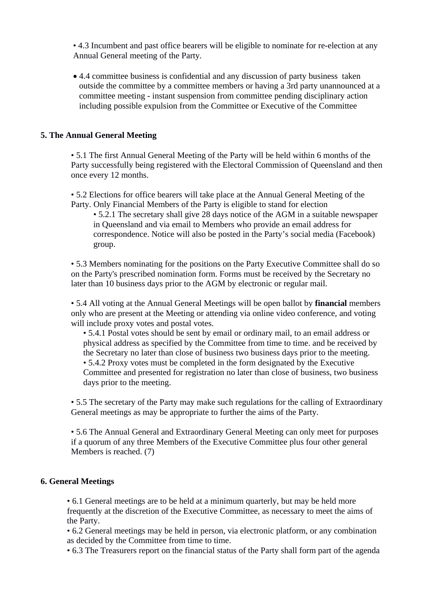• 4.3 Incumbent and past office bearers will be eligible to nominate for re-election at any Annual General meeting of the Party.

 4.4 committee business is confidential and any discussion of party business taken outside the committee by a committee members or having a 3rd party unannounced at a committee meeting - instant suspension from committee pending disciplinary action including possible expulsion from the Committee or Executive of the Committee

#### **5. The Annual General Meeting**

• 5.1 The first Annual General Meeting of the Party will be held within 6 months of the Party successfully being registered with the Electoral Commission of Queensland and then once every 12 months.

• 5.2 Elections for office bearers will take place at the Annual General Meeting of the Party. Only Financial Members of the Party is eligible to stand for election

• 5.2.1 The secretary shall give 28 days notice of the AGM in a suitable newspaper in Queensland and via email to Members who provide an email address for correspondence. Notice will also be posted in the Party's social media (Facebook) group.

• 5.3 Members nominating for the positions on the Party Executive Committee shall do so on the Party's prescribed nomination form. Forms must be received by the Secretary no later than 10 business days prior to the AGM by electronic or regular mail.

• 5.4 All voting at the Annual General Meetings will be open ballot by **financial** members only who are present at the Meeting or attending via online video conference, and voting will include proxy votes and postal votes.

• 5.4.1 Postal votes should be sent by email or ordinary mail, to an email address or physical address as specified by the Committee from time to time. and be received by the Secretary no later than close of business two business days prior to the meeting. • 5.4.2 Proxy votes must be completed in the form designated by the Executive Committee and presented for registration no later than close of business, two business days prior to the meeting.

• 5.5 The secretary of the Party may make such regulations for the calling of Extraordinary General meetings as may be appropriate to further the aims of the Party.

• 5.6 The Annual General and Extraordinary General Meeting can only meet for purposes if a quorum of any three Members of the Executive Committee plus four other general Members is reached. (7)

#### **6. General Meetings**

• 6.1 General meetings are to be held at a minimum quarterly, but may be held more frequently at the discretion of the Executive Committee, as necessary to meet the aims of the Party.

• 6.2 General meetings may be held in person, via electronic platform, or any combination as decided by the Committee from time to time.

• 6.3 The Treasurers report on the financial status of the Party shall form part of the agenda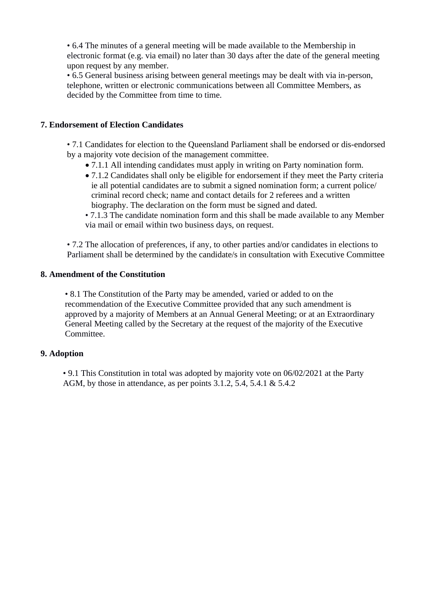• 6.4 The minutes of a general meeting will be made available to the Membership in electronic format (e.g. via email) no later than 30 days after the date of the general meeting upon request by any member.

• 6.5 General business arising between general meetings may be dealt with via in-person, telephone, written or electronic communications between all Committee Members, as decided by the Committee from time to time.

#### **7. Endorsement of Election Candidates**

• 7.1 Candidates for election to the Queensland Parliament shall be endorsed or dis-endorsed by a majority vote decision of the management committee.

- 7.1.1 All intending candidates must apply in writing on Party nomination form.
- 7.1.2 Candidates shall only be eligible for endorsement if they meet the Party criteria ie all potential candidates are to submit a signed nomination form; a current police/ criminal record check; name and contact details for 2 referees and a written biography. The declaration on the form must be signed and dated.
- 7.1.3 The candidate nomination form and this shall be made available to any Member via mail or email within two business days, on request.

• 7.2 The allocation of preferences, if any, to other parties and/or candidates in elections to Parliament shall be determined by the candidate/s in consultation with Executive Committee

#### **8. Amendment of the Constitution**

• 8.1 The Constitution of the Party may be amended, varied or added to on the recommendation of the Executive Committee provided that any such amendment is approved by a majority of Members at an Annual General Meeting; or at an Extraordinary General Meeting called by the Secretary at the request of the majority of the Executive Committee.

#### **9. Adoption**

• 9.1 This Constitution in total was adopted by majority vote on 06/02/2021 at the Party AGM, by those in attendance, as per points 3.1.2, 5.4, 5.4.1 & 5.4.2